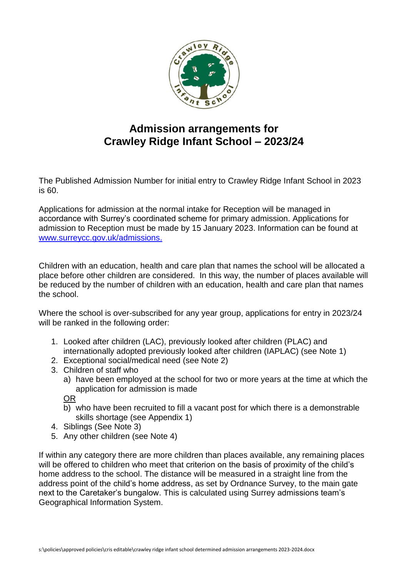

# **Admission arrangements for Crawley Ridge Infant School – 2023/24**

The Published Admission Number for initial entry to Crawley Ridge Infant School in 2023 is 60.

Applications for admission at the normal intake for Reception will be managed in accordance with Surrey's coordinated scheme for primary admission. Applications for admission to Reception must be made by 15 January 2023. Information can be found at [www.surreycc.gov.uk/admissions.](http://www.surreycc.gov.uk/admissions)

Children with an education, health and care plan that names the school will be allocated a place before other children are considered. In this way, the number of places available will be reduced by the number of children with an education, health and care plan that names the school.

Where the school is over-subscribed for any year group, applications for entry in 2023/24 will be ranked in the following order:

- 1. Looked after children (LAC), previously looked after children (PLAC) and internationally adopted previously looked after children (IAPLAC) (see Note 1)
- 2. Exceptional social/medical need (see Note 2)
- 3. Children of staff who
	- a) have been employed at the school for two or more years at the time at which the application for admission is made

OR

- b) who have been recruited to fill a vacant post for which there is a demonstrable skills shortage (see Appendix 1)
- 4. Siblings (See Note 3)
- 5. Any other children (see Note 4)

If within any category there are more children than places available, any remaining places will be offered to children who meet that criterion on the basis of proximity of the child's home address to the school. The distance will be measured in a straight line from the address point of the child's home address, as set by Ordnance Survey, to the main gate next to the Caretaker's bungalow. This is calculated using Surrey admissions team's Geographical Information System.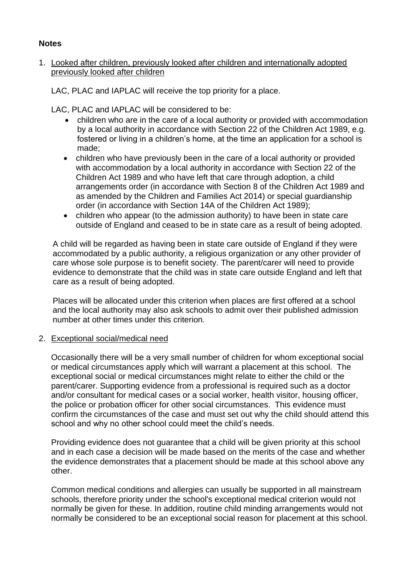# **Notes**

### 1. Looked after children, previously looked after children and internationally adopted previously looked after children

LAC, PLAC and IAPLAC will receive the top priority for a place.

LAC, PLAC and IAPLAC will be considered to be:

- children who are in the care of a local authority or provided with accommodation by a local authority in accordance with Section 22 of the Children Act 1989, e.g. fostered or living in a children's home, at the time an application for a school is made;
- children who have previously been in the care of a local authority or provided with accommodation by a local authority in accordance with Section 22 of the Children Act 1989 and who have left that care through adoption, a child arrangements order (in accordance with Section 8 of the Children Act 1989 and as amended by the Children and Families Act 2014) or special guardianship order (in accordance with Section 14A of the Children Act 1989);
- children who appear (to the admission authority) to have been in state care outside of England and ceased to be in state care as a result of being adopted.

A child will be regarded as having been in state care outside of England if they were accommodated by a public authority, a religious organization or any other provider of care whose sole purpose is to benefit society. The parent/carer will need to provide evidence to demonstrate that the child was in state care outside England and left that care as a result of being adopted.

Places will be allocated under this criterion when places are first offered at a school and the local authority may also ask schools to admit over their published admission number at other times under this criterion.

#### 2. Exceptional social/medical need

Occasionally there will be a very small number of children for whom exceptional social or medical circumstances apply which will warrant a placement at this school. The exceptional social or medical circumstances might relate to either the child or the parent/carer. Supporting evidence from a professional is required such as a doctor and/or consultant for medical cases or a social worker, health visitor, housing officer, the police or probation officer for other social circumstances. This evidence must confirm the circumstances of the case and must set out why the child should attend this school and why no other school could meet the child's needs.

Providing evidence does not guarantee that a child will be given priority at this school and in each case a decision will be made based on the merits of the case and whether the evidence demonstrates that a placement should be made at this school above any other.

Common medical conditions and allergies can usually be supported in all mainstream schools, therefore priority under the school's exceptional medical criterion would not normally be given for these. In addition, routine child minding arrangements would not normally be considered to be an exceptional social reason for placement at this school.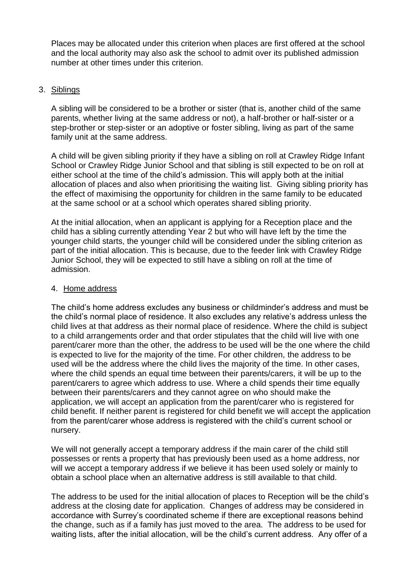Places may be allocated under this criterion when places are first offered at the school and the local authority may also ask the school to admit over its published admission number at other times under this criterion.

# 3. Siblings

A sibling will be considered to be a brother or sister (that is, another child of the same parents, whether living at the same address or not), a half-brother or half-sister or a step-brother or step-sister or an adoptive or foster sibling, living as part of the same family unit at the same address.

A child will be given sibling priority if they have a sibling on roll at Crawley Ridge Infant School or Crawley Ridge Junior School and that sibling is still expected to be on roll at either school at the time of the child's admission. This will apply both at the initial allocation of places and also when prioritising the waiting list. Giving sibling priority has the effect of maximising the opportunity for children in the same family to be educated at the same school or at a school which operates shared sibling priority.

At the initial allocation, when an applicant is applying for a Reception place and the child has a sibling currently attending Year 2 but who will have left by the time the younger child starts, the younger child will be considered under the sibling criterion as part of the initial allocation. This is because, due to the feeder link with Crawley Ridge Junior School, they will be expected to still have a sibling on roll at the time of admission.

# 4. Home address

The child's home address excludes any business or childminder's address and must be the child's normal place of residence. It also excludes any relative's address unless the child lives at that address as their normal place of residence. Where the child is subject to a child arrangements order and that order stipulates that the child will live with one parent/carer more than the other, the address to be used will be the one where the child is expected to live for the majority of the time. For other children, the address to be used will be the address where the child lives the majority of the time. In other cases, where the child spends an equal time between their parents/carers, it will be up to the parent/carers to agree which address to use. Where a child spends their time equally between their parents/carers and they cannot agree on who should make the application, we will accept an application from the parent/carer who is registered for child benefit. If neither parent is registered for child benefit we will accept the application from the parent/carer whose address is registered with the child's current school or nursery.

We will not generally accept a temporary address if the main carer of the child still possesses or rents a property that has previously been used as a home address, nor will we accept a temporary address if we believe it has been used solely or mainly to obtain a school place when an alternative address is still available to that child.

The address to be used for the initial allocation of places to Reception will be the child's address at the closing date for application. Changes of address may be considered in accordance with Surrey's coordinated scheme if there are exceptional reasons behind the change, such as if a family has just moved to the area. The address to be used for waiting lists, after the initial allocation, will be the child's current address. Any offer of a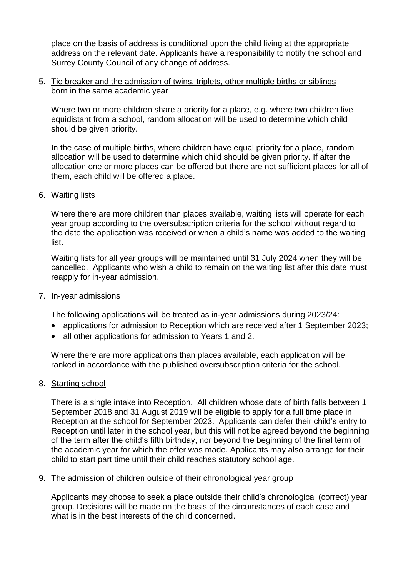place on the basis of address is conditional upon the child living at the appropriate address on the relevant date. Applicants have a responsibility to notify the school and Surrey County Council of any change of address.

#### 5. Tie breaker and the admission of twins, triplets, other multiple births or siblings born in the same academic year

Where two or more children share a priority for a place, e.g. where two children live equidistant from a school, random allocation will be used to determine which child should be given priority.

In the case of multiple births, where children have equal priority for a place, random allocation will be used to determine which child should be given priority. If after the allocation one or more places can be offered but there are not sufficient places for all of them, each child will be offered a place.

#### 6. Waiting lists

Where there are more children than places available, waiting lists will operate for each year group according to the oversubscription criteria for the school without regard to the date the application was received or when a child's name was added to the waiting list.

Waiting lists for all year groups will be maintained until 31 July 2024 when they will be cancelled. Applicants who wish a child to remain on the waiting list after this date must reapply for in-year admission.

#### 7. In-year admissions

The following applications will be treated as in-year admissions during 2023/24:

- applications for admission to Reception which are received after 1 September 2023;
- all other applications for admission to Years 1 and 2.

Where there are more applications than places available, each application will be ranked in accordance with the published oversubscription criteria for the school.

#### 8. Starting school

There is a single intake into Reception. All children whose date of birth falls between 1 September 2018 and 31 August 2019 will be eligible to apply for a full time place in Reception at the school for September 2023. Applicants can defer their child's entry to Reception until later in the school year, but this will not be agreed beyond the beginning of the term after the child's fifth birthday, nor beyond the beginning of the final term of the academic year for which the offer was made. Applicants may also arrange for their child to start part time until their child reaches statutory school age.

#### 9. The admission of children outside of their chronological year group

Applicants may choose to seek a place outside their child's chronological (correct) year group. Decisions will be made on the basis of the circumstances of each case and what is in the best interests of the child concerned.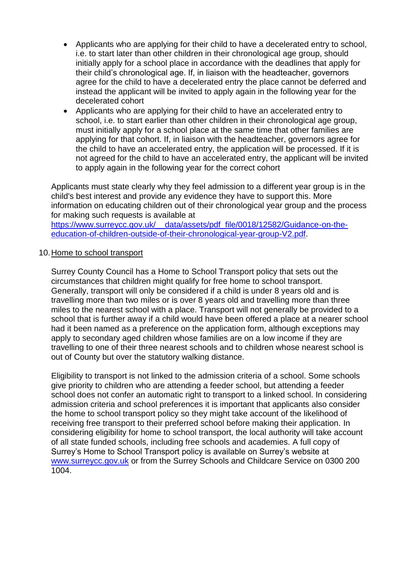- Applicants who are applying for their child to have a decelerated entry to school, i.e. to start later than other children in their chronological age group, should initially apply for a school place in accordance with the deadlines that apply for their child's chronological age. If, in liaison with the headteacher, governors agree for the child to have a decelerated entry the place cannot be deferred and instead the applicant will be invited to apply again in the following year for the decelerated cohort
- Applicants who are applying for their child to have an accelerated entry to school, i.e. to start earlier than other children in their chronological age group, must initially apply for a school place at the same time that other families are applying for that cohort. If, in liaison with the headteacher, governors agree for the child to have an accelerated entry, the application will be processed. If it is not agreed for the child to have an accelerated entry, the applicant will be invited to apply again in the following year for the correct cohort

Applicants must state clearly why they feel admission to a different year group is in the child's best interest and provide any evidence they have to support this. More information on educating children out of their chronological year group and the process for making such requests is available at https://www.surreycc.gov.uk/ data/assets/pdf file/0018/12582/Guidance-on-the-

[education-of-children-outside-of-their-chronological-year-group-V2.pdf.](https://www.surreycc.gov.uk/__data/assets/pdf_file/0018/12582/Guidance-on-the-education-of-children-outside-of-their-chronological-year-group-V2.pdf)

#### 10.Home to school transport

Surrey County Council has a Home to School Transport policy that sets out the circumstances that children might qualify for free home to school transport. Generally, transport will only be considered if a child is under 8 years old and is travelling more than two miles or is over 8 years old and travelling more than three miles to the nearest school with a place. Transport will not generally be provided to a school that is further away if a child would have been offered a place at a nearer school had it been named as a preference on the application form, although exceptions may apply to secondary aged children whose families are on a low income if they are travelling to one of their three nearest schools and to children whose nearest school is out of County but over the statutory walking distance.

Eligibility to transport is not linked to the admission criteria of a school. Some schools give priority to children who are attending a feeder school, but attending a feeder school does not confer an automatic right to transport to a linked school. In considering admission criteria and school preferences it is important that applicants also consider the home to school transport policy so they might take account of the likelihood of receiving free transport to their preferred school before making their application. In considering eligibility for home to school transport, the local authority will take account of all state funded schools, including free schools and academies. A full copy of Surrey's Home to School Transport policy is available on Surrey's website at [www.surreycc.gov.uk](http://www.surreycc.gov.uk/) or from the Surrey Schools and Childcare Service on 0300 200 1004.